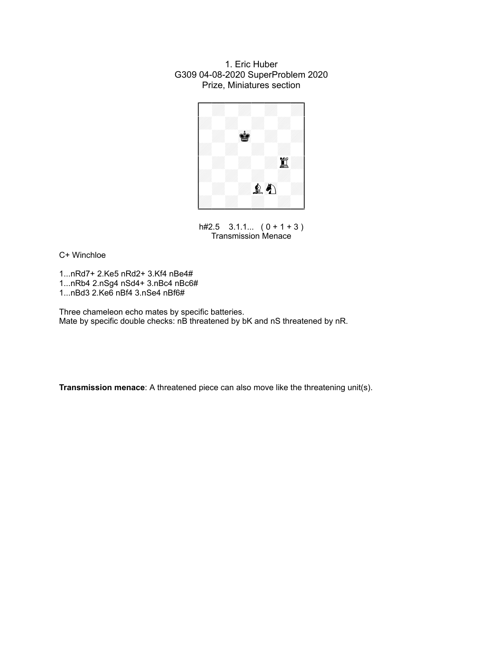### 1. Eric Huber G309 04-08-2020 SuperProblem 2020 Prize, Miniatures section



h#2.5  $3.1.1...$   $(0 + 1 + 3)$ Transmission Menace

C+ Winchloe

1...nRd7+ 2.Ke5 nRd2+ 3.Kf4 nBe4# 1...nRb4 2.nSg4 nSd4+ 3.nBc4 nBc6# 1...nBd3 2.Ke6 nBf4 3.nSe4 nBf6#

Three chameleon echo mates by specific batteries. Mate by specific double checks: nB threatened by bK and nS threatened by nR.

**Transmission menace**: A threatened piece can also move like the threatening unit(s).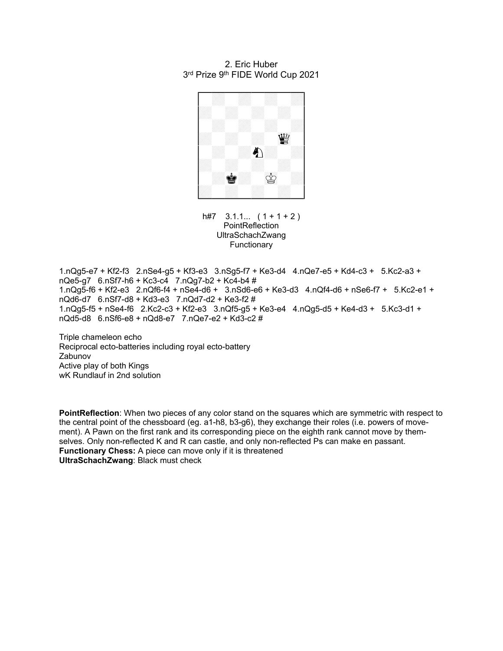#### 2. Eric Huber 3<sup>rd</sup> Prize 9<sup>th</sup> FIDE World Cup 2021



 $h#7$  3.1.1...  $(1 + 1 + 2)$ **PointReflection** UltraSchachZwang Functionary

1.nQg5-e7 + Kf2-f3 2.nSe4-g5 + Kf3-e3 3.nSg5-f7 + Ke3-d4 4.nQe7-e5 + Kd4-c3 + 5.Kc2-a3 + nQe5-g7 6.nSf7-h6 + Kc3-c4 7.nQg7-b2 + Kc4-b4 # 1.nQg5-f6 + Kf2-e3 2.nQf6-f4 + nSe4-d6 + 3.nSd6-e6 + Ke3-d3 4.nQf4-d6 + nSe6-f7 + 5.Kc2-e1 + nQd6-d7 6.nSf7-d8 + Kd3-e3 7.nQd7-d2 + Ke3-f2 # 1.nQg5-f5 + nSe4-f6 2.Kc2-c3 + Kf2-e3 3.nQf5-g5 + Ke3-e4 4.nQg5-d5 + Ke4-d3 + 5.Kc3-d1 +  $nQd5-d8$  6.nSf6-e8 + nQd8-e7 7.nQe7-e2 + Kd3-c2 #

Triple chameleon echo Reciprocal ecto-batteries including royal ecto-battery Zabunov Active play of both Kings wK Rundlauf in 2nd solution

**PointReflection**: When two pieces of any color stand on the squares which are symmetric with respect to the central point of the chessboard (eg. a1-h8, b3-g6), they exchange their roles (i.e. powers of movement). A Pawn on the first rank and its corresponding piece on the eighth rank cannot move by themselves. Only non-reflected K and R can castle, and only non-reflected Ps can make en passant. **Functionary Chess:** A piece can move only if it is threatened **UltraSchachZwang**: Black must check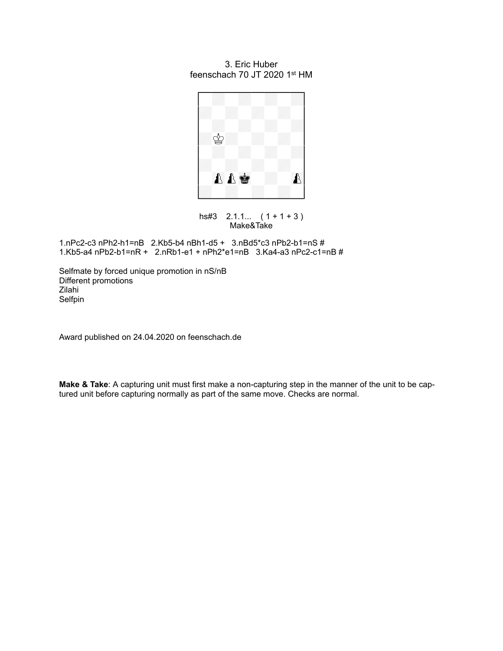## 3. Eric Huber feenschach 70 JT 2020 1<sup>st</sup> HM



hs#3 2.1.1... ( 1 + 1 + 3 ) Make&Take

1.nPc2-c3 nPh2-h1=nB 2.Kb5-b4 nBh1-d5 + 3.nBd5\*c3 nPb2-b1=nS # 1.Kb5-a4 nPb2-b1=nR + 2.nRb1-e1 + nPh2\*e1=nB 3.Ka4-a3 nPc2-c1=nB #

Selfmate by forced unique promotion in nS/nB Different promotions Zilahi Selfpin

Award published on 24.04.2020 on feenschach.de

**Make & Take**: A capturing unit must first make a non-capturing step in the manner of the unit to be captured unit before capturing normally as part of the same move. Checks are normal.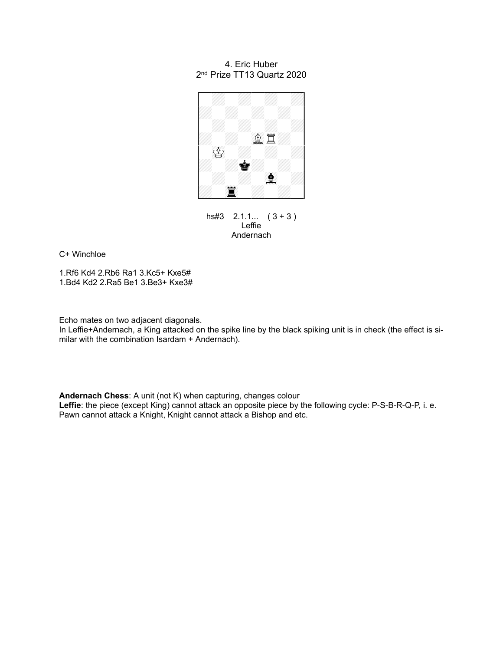### 4. Eric Huber 2 nd Prize TT13 Quartz 2020



hs#3 2.1.1... ( 3 + 3 ) Leffie Andernach

C+ Winchloe

1.Rf6 Kd4 2.Rb6 Ra1 3.Kc5+ Kxe5# 1.Bd4 Kd2 2.Ra5 Be1 3.Be3+ Kxe3#

Echo mates on two adjacent diagonals.

In Leffie+Andernach, a King attacked on the spike line by the black spiking unit is in check (the effect is similar with the combination Isardam + Andernach).

**Andernach Chess**: A unit (not K) when capturing, changes colour **Leffie**: the piece (except King) cannot attack an opposite piece by the following cycle: P-S-B-R-Q-P, i. e. Pawn cannot attack a Knight, Knight cannot attack a Bishop and etc.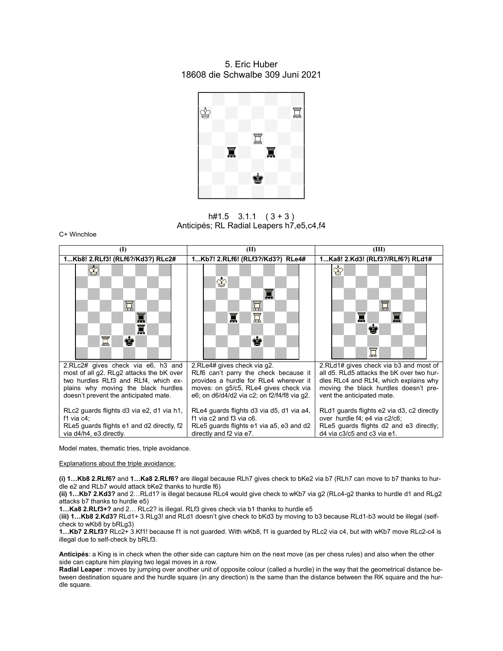### 5. Eric Huber 18608 die Schwalbe 309 Juni 2021



 $h#1.5$  3.1.1  $(3+3)$ Anticipés; RL Radial Leapers h7,e5,c4,f4

C+ Winchloe

| $\textcircled{1}$                                                                                                                                    | (II)                                                                                                                                         | (III)                                                                                                                                                  |
|------------------------------------------------------------------------------------------------------------------------------------------------------|----------------------------------------------------------------------------------------------------------------------------------------------|--------------------------------------------------------------------------------------------------------------------------------------------------------|
| 1Kb8! 2.RLf3! (RLf6?/Kd3?) RLc2#                                                                                                                     | 1Kb7! 2.RLf6! (RLf3?/Kd3?) RLe4#                                                                                                             | 1Ka8! 2.Kd3! (RLf3?/RLf6?) RLd1#                                                                                                                       |
| ♔<br>冝<br>冨<br>冨<br>冨<br>ġ<br>2.RLc2# gives check via e6, h3 and<br>most of all g2. RLg2 attacks the bK over<br>two hurdles RLf3 and RLf4, which ex- | ✿<br>冨<br>冨<br>冨<br>ġ<br>2.RLe4# gives check via g2.<br>RLf6 can't parry the check because it<br>provides a hurdle for RLe4 wherever it      | ♔<br>冨<br>t<br>¢<br>冨<br>2.RLd1# gives check via b3 and most of<br>all d5. RLd5 attacks the bK over two hur-<br>dles RLc4 and RLf4, which explains why |
| plains why moving the black hurdles<br>doesn't prevent the anticipated mate.                                                                         | moves: on q5/c5, RLe4 gives check via<br>e6; on d6/d4/d2 via c2; on f2/f4/f8 via g2.                                                         | moving the black hurdles doesn't pre-<br>vent the anticipated mate.                                                                                    |
| RLc2 guards flights d3 via e2, d1 via h1,<br>f1 via $c4$ :<br>RLe5 guards flights e1 and d2 directly, f2<br>via d4/h4, e3 directly.                  | RLe4 guards flights d3 via d5, d1 via a4,<br>f1 via c2 and f3 via c6.<br>RLe5 guards flights e1 via a5, e3 and d2<br>directly and f2 via e7. | RLd1 guards flights e2 via d3, c2 directly<br>over hurdle f4, e4 via c2/c6;<br>RLe5 guards flights d2 and e3 directly;<br>d4 via c3/c5 and c3 via e1.  |

Model mates, thematic tries, triple avoidance.

Explanations about the triple avoidance:

**(i) 1…Kb8 2.RLf6?** and **1…Ka8 2.RLf6?** are illegal because RLh7 gives check to bKe2 via b7 (RLh7 can move to b7 thanks to hurdle e2 and RLb7 would attack bKe2 thanks to hurdle f6)

**(ii) 1…Kb7 2.Kd3?** and 2…RLd1? is illegal because RLc4 would give check to wKb7 via g2 (RLc4-g2 thanks to hurdle d1 and RLg2 attacks b7 thanks to hurdle e5)

**1…Ka8 2.RLf3+?** and 2… RLc2? is illegal. RLf3 gives check via b1 thanks to hurdle e5

(**iii) 1…Kb8 2.Kd3?** RLd1+ 3.RLg3! and RLd1 doesn't give check to bKd3 by moving to b3 because RLd1-b3 would be illegal (selfcheck to wKb8 by bRLg3)

**1…Kb7 2.RLf3?** RLc2+ 3.Kf1! because f1 is not guarded. With wKb8, f1 is guarded by RLc2 via c4, but with wKb7 move RLc2-c4 is illegal due to self-check by bRLf3.

**Anticipés**: a King is in check when the other side can capture him on the next move (as per chess rules) and also when the other side can capture him playing two legal moves in a row.

Radial Leaper : moves by jumping over another unit of opposite colour (called a hurdle) in the way that the geometrical distance between destination square and the hurdle square (in any direction) is the same than the distance between the RK square and the hurdle square.